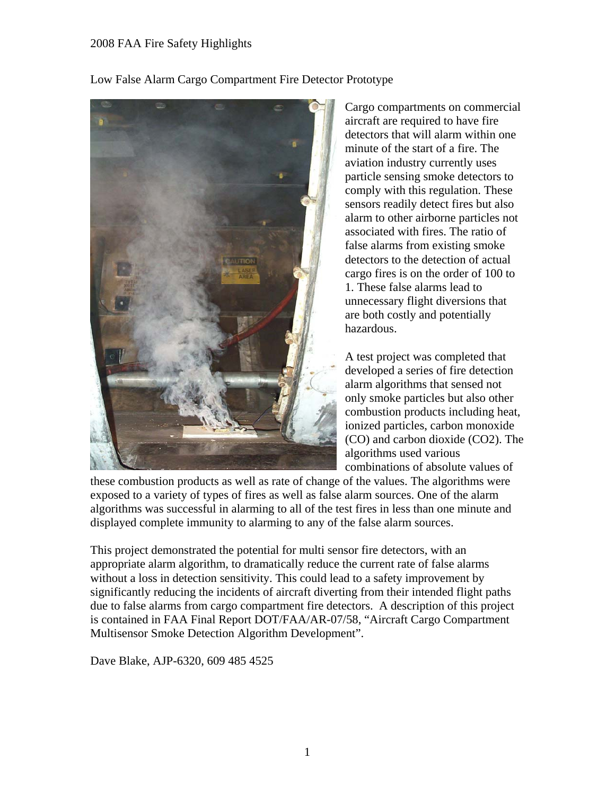Low False Alarm Cargo Compartment Fire Detector Prototype



Cargo compartments on commercial aircraft are required to have fire detectors that will alarm within one minute of the start of a fire. The aviation industry currently uses particle sensing smoke detectors to comply with this regulation. These sensors readily detect fires but also alarm to other airborne particles not associated with fires. The ratio of false alarms from existing smoke detectors to the detection of actual cargo fires is on the order of 100 to 1. These false alarms lead to unnecessary flight diversions that are both costly and potentially hazardous.

A test project was completed that developed a series of fire detection alarm algorithms that sensed not only smoke particles but also other combustion products including heat, ionized particles, carbon monoxide (CO) and carbon dioxide (CO2). The algorithms used various combinations of absolute values of

these combustion products as well as rate of change of the values. The algorithms were exposed to a variety of types of fires as well as false alarm sources. One of the alarm algorithms was successful in alarming to all of the test fires in less than one minute and displayed complete immunity to alarming to any of the false alarm sources.

This project demonstrated the potential for multi sensor fire detectors, with an appropriate alarm algorithm, to dramatically reduce the current rate of false alarms without a loss in detection sensitivity. This could lead to a safety improvement by significantly reducing the incidents of aircraft diverting from their intended flight paths due to false alarms from cargo compartment fire detectors. A description of this project is contained in FAA Final Report DOT/FAA/AR-07/58, "Aircraft Cargo Compartment Multisensor Smoke Detection Algorithm Development".

Dave Blake, AJP-6320, 609 485 4525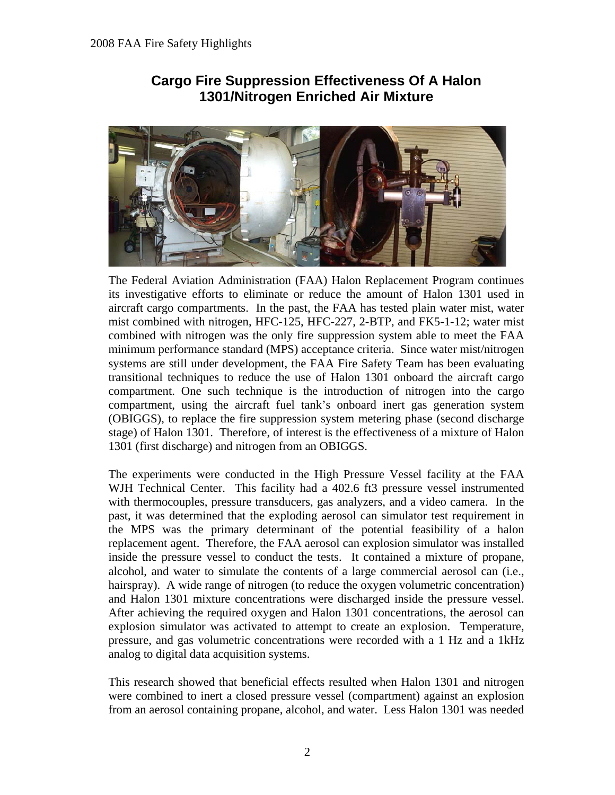

# **Cargo Fire Suppression Effectiveness Of A Halon 1301/Nitrogen Enriched Air Mixture**

The Federal Aviation Administration (FAA) Halon Replacement Program continues its investigative efforts to eliminate or reduce the amount of Halon 1301 used in aircraft cargo compartments. In the past, the FAA has tested plain water mist, water mist combined with nitrogen, HFC-125, HFC-227, 2-BTP, and FK5-1-12; water mist combined with nitrogen was the only fire suppression system able to meet the FAA minimum performance standard (MPS) acceptance criteria. Since water mist/nitrogen systems are still under development, the FAA Fire Safety Team has been evaluating transitional techniques to reduce the use of Halon 1301 onboard the aircraft cargo compartment. One such technique is the introduction of nitrogen into the cargo compartment, using the aircraft fuel tank's onboard inert gas generation system (OBIGGS), to replace the fire suppression system metering phase (second discharge stage) of Halon 1301. Therefore, of interest is the effectiveness of a mixture of Halon 1301 (first discharge) and nitrogen from an OBIGGS.

The experiments were conducted in the High Pressure Vessel facility at the FAA WJH Technical Center. This facility had a 402.6 ft3 pressure vessel instrumented with thermocouples, pressure transducers, gas analyzers, and a video camera. In the past, it was determined that the exploding aerosol can simulator test requirement in the MPS was the primary determinant of the potential feasibility of a halon replacement agent. Therefore, the FAA aerosol can explosion simulator was installed inside the pressure vessel to conduct the tests. It contained a mixture of propane, alcohol, and water to simulate the contents of a large commercial aerosol can (i.e., hairspray). A wide range of nitrogen (to reduce the oxygen volumetric concentration) and Halon 1301 mixture concentrations were discharged inside the pressure vessel. After achieving the required oxygen and Halon 1301 concentrations, the aerosol can explosion simulator was activated to attempt to create an explosion. Temperature, pressure, and gas volumetric concentrations were recorded with a 1 Hz and a 1kHz analog to digital data acquisition systems.

This research showed that beneficial effects resulted when Halon 1301 and nitrogen were combined to inert a closed pressure vessel (compartment) against an explosion from an aerosol containing propane, alcohol, and water. Less Halon 1301 was needed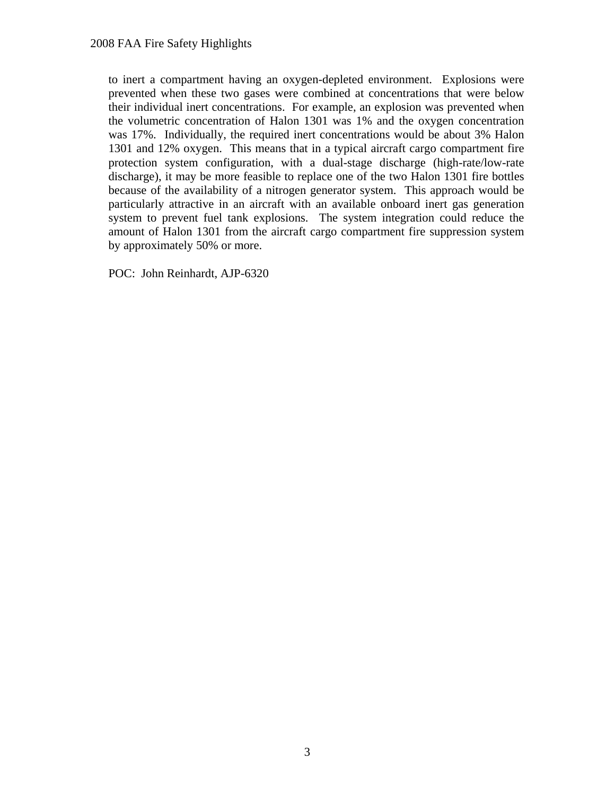to inert a compartment having an oxygen-depleted environment. Explosions were prevented when these two gases were combined at concentrations that were below their individual inert concentrations. For example, an explosion was prevented when the volumetric concentration of Halon 1301 was 1% and the oxygen concentration was 17%. Individually, the required inert concentrations would be about 3% Halon 1301 and 12% oxygen. This means that in a typical aircraft cargo compartment fire protection system configuration, with a dual-stage discharge (high-rate/low-rate discharge), it may be more feasible to replace one of the two Halon 1301 fire bottles because of the availability of a nitrogen generator system. This approach would be particularly attractive in an aircraft with an available onboard inert gas generation system to prevent fuel tank explosions. The system integration could reduce the amount of Halon 1301 from the aircraft cargo compartment fire suppression system by approximately 50% or more.

POC: John Reinhardt, AJP-6320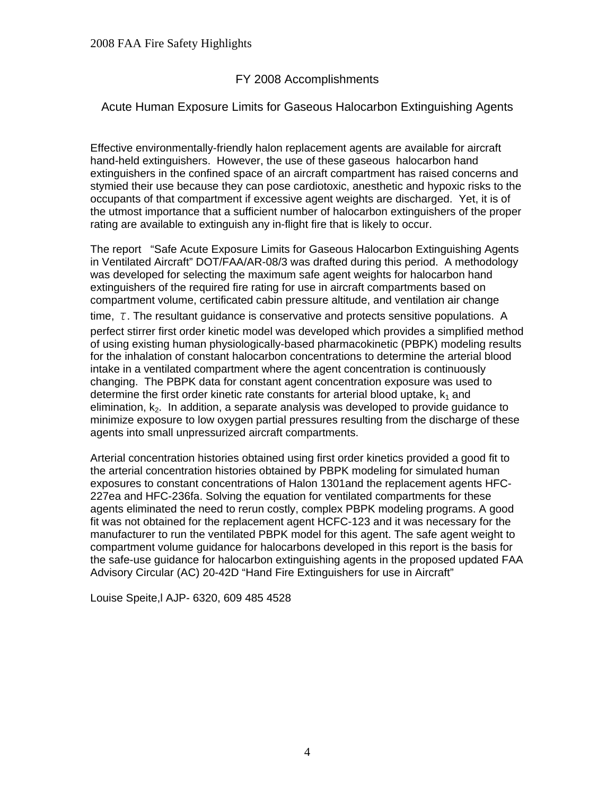# FY 2008 Accomplishments

# Acute Human Exposure Limits for Gaseous Halocarbon Extinguishing Agents

Effective environmentally-friendly halon replacement agents are available for aircraft hand-held extinguishers. However, the use of these gaseous halocarbon hand extinguishers in the confined space of an aircraft compartment has raised concerns and stymied their use because they can pose cardiotoxic, anesthetic and hypoxic risks to the occupants of that compartment if excessive agent weights are discharged. Yet, it is of the utmost importance that a sufficient number of halocarbon extinguishers of the proper rating are available to extinguish any in-flight fire that is likely to occur.

The report "Safe Acute Exposure Limits for Gaseous Halocarbon Extinguishing Agents in Ventilated Aircraft" DOT/FAA/AR-08/3 was drafted during this period. A methodology was developed for selecting the maximum safe agent weights for halocarbon hand extinguishers of the required fire rating for use in aircraft compartments based on compartment volume, certificated cabin pressure altitude, and ventilation air change time, *τ*. The resultant guidance is conservative and protects sensitive populations. A perfect stirrer first order kinetic model was developed which provides a simplified method of using existing human physiologically-based pharmacokinetic (PBPK) modeling results for the inhalation of constant halocarbon concentrations to determine the arterial blood intake in a ventilated compartment where the agent concentration is continuously changing. The PBPK data for constant agent concentration exposure was used to determine the first order kinetic rate constants for arterial blood uptake,  $k_1$  and elimination,  $k<sub>2</sub>$ . In addition, a separate analysis was developed to provide guidance to minimize exposure to low oxygen partial pressures resulting from the discharge of these agents into small unpressurized aircraft compartments.

Arterial concentration histories obtained using first order kinetics provided a good fit to the arterial concentration histories obtained by PBPK modeling for simulated human exposures to constant concentrations of Halon 1301and the replacement agents HFC-227ea and HFC-236fa. Solving the equation for ventilated compartments for these agents eliminated the need to rerun costly, complex PBPK modeling programs. A good fit was not obtained for the replacement agent HCFC-123 and it was necessary for the manufacturer to run the ventilated PBPK model for this agent. The safe agent weight to compartment volume guidance for halocarbons developed in this report is the basis for the safe-use guidance for halocarbon extinguishing agents in the proposed updated FAA Advisory Circular (AC) 20-42D "Hand Fire Extinguishers for use in Aircraft"

Louise Speite,l AJP- 6320, 609 485 4528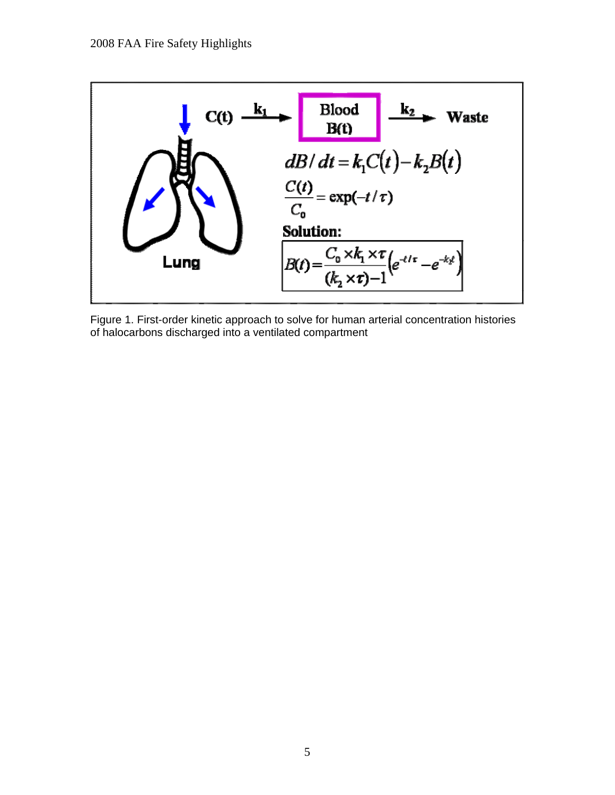

Figure 1. First-order kinetic approach to solve for human arterial concentration histories of halocarbons discharged into a ventilated compartment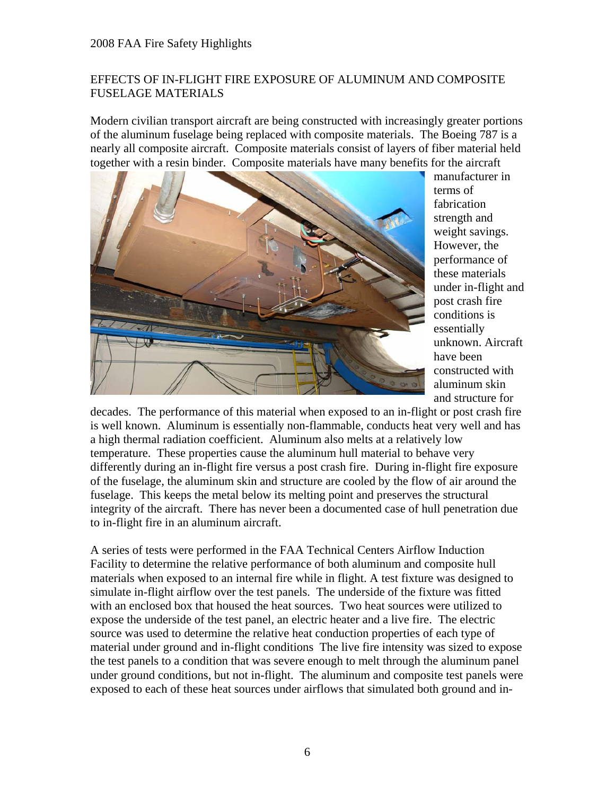## EFFECTS OF IN-FLIGHT FIRE EXPOSURE OF ALUMINUM AND COMPOSITE FUSELAGE MATERIALS

Modern civilian transport aircraft are being constructed with increasingly greater portions of the aluminum fuselage being replaced with composite materials. The Boeing 787 is a nearly all composite aircraft. Composite materials consist of layers of fiber material held together with a resin binder. Composite materials have many benefits for the aircraft



manufacturer in terms of fabrication strength and weight savings. However, the performance of these materials under in-flight and post crash fire conditions is essentially unknown. Aircraft have been constructed with aluminum skin and structure for

decades. The performance of this material when exposed to an in-flight or post crash fire is well known. Aluminum is essentially non-flammable, conducts heat very well and has a high thermal radiation coefficient. Aluminum also melts at a relatively low temperature. These properties cause the aluminum hull material to behave very differently during an in-flight fire versus a post crash fire. During in-flight fire exposure of the fuselage, the aluminum skin and structure are cooled by the flow of air around the fuselage. This keeps the metal below its melting point and preserves the structural integrity of the aircraft. There has never been a documented case of hull penetration due to in-flight fire in an aluminum aircraft.

A series of tests were performed in the FAA Technical Centers Airflow Induction Facility to determine the relative performance of both aluminum and composite hull materials when exposed to an internal fire while in flight. A test fixture was designed to simulate in-flight airflow over the test panels. The underside of the fixture was fitted with an enclosed box that housed the heat sources. Two heat sources were utilized to expose the underside of the test panel, an electric heater and a live fire. The electric source was used to determine the relative heat conduction properties of each type of material under ground and in-flight conditions The live fire intensity was sized to expose the test panels to a condition that was severe enough to melt through the aluminum panel under ground conditions, but not in-flight. The aluminum and composite test panels were exposed to each of these heat sources under airflows that simulated both ground and in-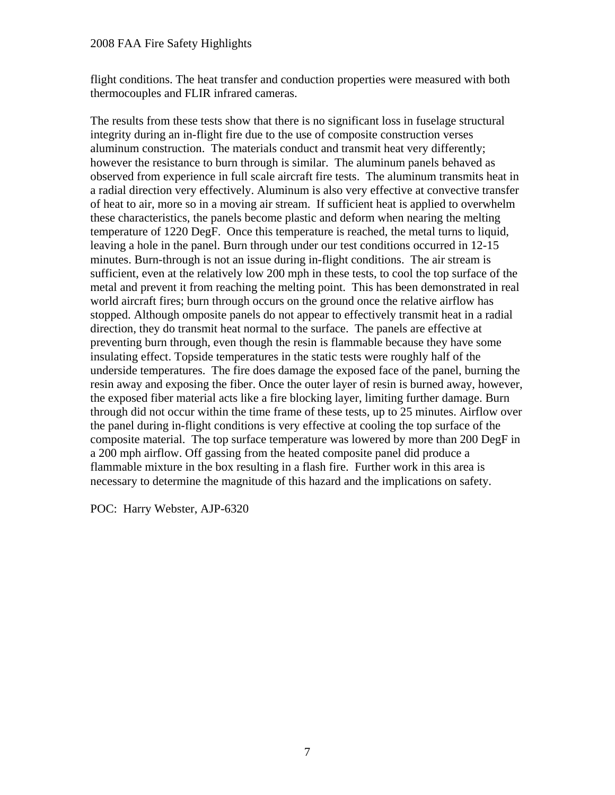flight conditions. The heat transfer and conduction properties were measured with both thermocouples and FLIR infrared cameras.

The results from these tests show that there is no significant loss in fuselage structural integrity during an in-flight fire due to the use of composite construction verses aluminum construction. The materials conduct and transmit heat very differently; however the resistance to burn through is similar. The aluminum panels behaved as observed from experience in full scale aircraft fire tests. The aluminum transmits heat in a radial direction very effectively. Aluminum is also very effective at convective transfer of heat to air, more so in a moving air stream. If sufficient heat is applied to overwhelm these characteristics, the panels become plastic and deform when nearing the melting temperature of 1220 DegF. Once this temperature is reached, the metal turns to liquid, leaving a hole in the panel. Burn through under our test conditions occurred in 12-15 minutes. Burn-through is not an issue during in-flight conditions. The air stream is sufficient, even at the relatively low 200 mph in these tests, to cool the top surface of the metal and prevent it from reaching the melting point. This has been demonstrated in real world aircraft fires; burn through occurs on the ground once the relative airflow has stopped. Although omposite panels do not appear to effectively transmit heat in a radial direction, they do transmit heat normal to the surface. The panels are effective at preventing burn through, even though the resin is flammable because they have some insulating effect. Topside temperatures in the static tests were roughly half of the underside temperatures. The fire does damage the exposed face of the panel, burning the resin away and exposing the fiber. Once the outer layer of resin is burned away, however, the exposed fiber material acts like a fire blocking layer, limiting further damage. Burn through did not occur within the time frame of these tests, up to 25 minutes. Airflow over the panel during in-flight conditions is very effective at cooling the top surface of the composite material. The top surface temperature was lowered by more than 200 DegF in a 200 mph airflow. Off gassing from the heated composite panel did produce a flammable mixture in the box resulting in a flash fire. Further work in this area is necessary to determine the magnitude of this hazard and the implications on safety.

POC: Harry Webster, AJP-6320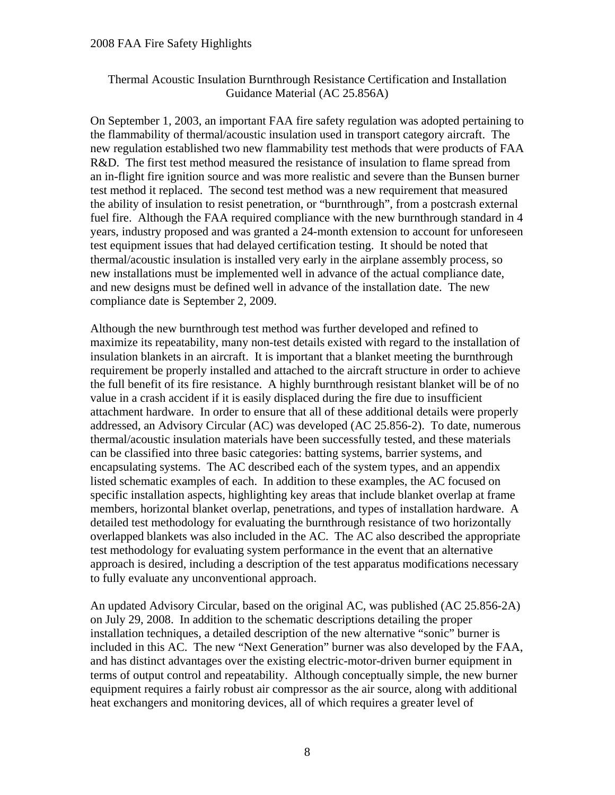### Thermal Acoustic Insulation Burnthrough Resistance Certification and Installation Guidance Material (AC 25.856A)

On September 1, 2003, an important FAA fire safety regulation was adopted pertaining to the flammability of thermal/acoustic insulation used in transport category aircraft. The new regulation established two new flammability test methods that were products of FAA R&D. The first test method measured the resistance of insulation to flame spread from an in-flight fire ignition source and was more realistic and severe than the Bunsen burner test method it replaced. The second test method was a new requirement that measured the ability of insulation to resist penetration, or "burnthrough", from a postcrash external fuel fire. Although the FAA required compliance with the new burnthrough standard in 4 years, industry proposed and was granted a 24-month extension to account for unforeseen test equipment issues that had delayed certification testing. It should be noted that thermal/acoustic insulation is installed very early in the airplane assembly process, so new installations must be implemented well in advance of the actual compliance date, and new designs must be defined well in advance of the installation date. The new compliance date is September 2, 2009.

Although the new burnthrough test method was further developed and refined to maximize its repeatability, many non-test details existed with regard to the installation of insulation blankets in an aircraft. It is important that a blanket meeting the burnthrough requirement be properly installed and attached to the aircraft structure in order to achieve the full benefit of its fire resistance. A highly burnthrough resistant blanket will be of no value in a crash accident if it is easily displaced during the fire due to insufficient attachment hardware. In order to ensure that all of these additional details were properly addressed, an Advisory Circular (AC) was developed (AC 25.856-2). To date, numerous thermal/acoustic insulation materials have been successfully tested, and these materials can be classified into three basic categories: batting systems, barrier systems, and encapsulating systems. The AC described each of the system types, and an appendix listed schematic examples of each. In addition to these examples, the AC focused on specific installation aspects, highlighting key areas that include blanket overlap at frame members, horizontal blanket overlap, penetrations, and types of installation hardware. A detailed test methodology for evaluating the burnthrough resistance of two horizontally overlapped blankets was also included in the AC. The AC also described the appropriate test methodology for evaluating system performance in the event that an alternative approach is desired, including a description of the test apparatus modifications necessary to fully evaluate any unconventional approach.

An updated Advisory Circular, based on the original AC, was published (AC 25.856-2A) on July 29, 2008. In addition to the schematic descriptions detailing the proper installation techniques, a detailed description of the new alternative "sonic" burner is included in this AC. The new "Next Generation" burner was also developed by the FAA, and has distinct advantages over the existing electric-motor-driven burner equipment in terms of output control and repeatability. Although conceptually simple, the new burner equipment requires a fairly robust air compressor as the air source, along with additional heat exchangers and monitoring devices, all of which requires a greater level of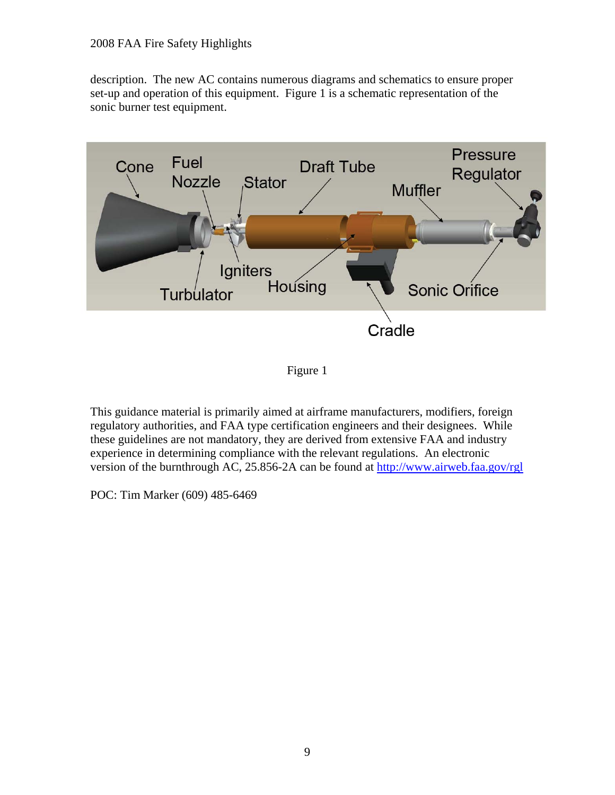description. The new AC contains numerous diagrams and schematics to ensure proper set-up and operation of this equipment. Figure 1 is a schematic representation of the sonic burner test equipment.



Figure 1

This guidance material is primarily aimed at airframe manufacturers, modifiers, foreign regulatory authorities, and FAA type certification engineers and their designees. While these guidelines are not mandatory, they are derived from extensive FAA and industry experience in determining compliance with the relevant regulations. An electronic version of the burnthrough AC, 25.856-2A can be found at http://www.airweb.faa.gov/rgl

POC: Tim Marker (609) 485-6469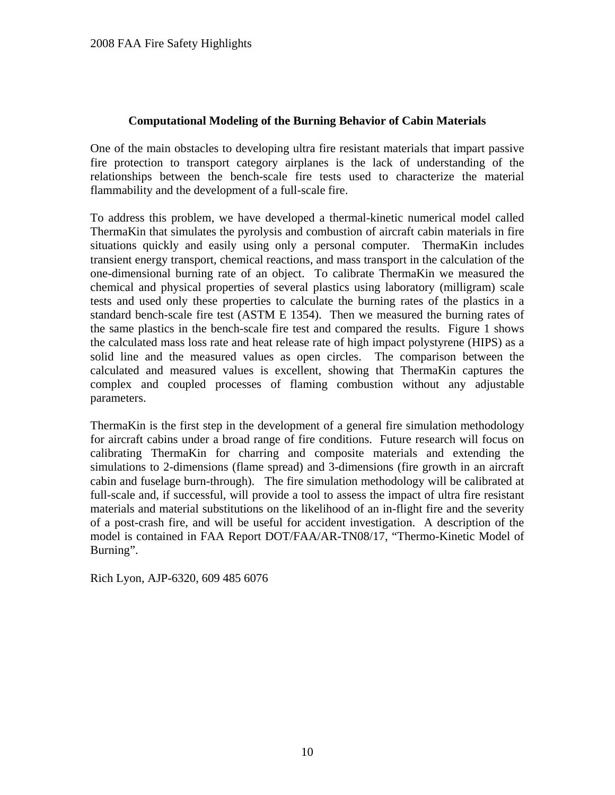## **Computational Modeling of the Burning Behavior of Cabin Materials**

One of the main obstacles to developing ultra fire resistant materials that impart passive fire protection to transport category airplanes is the lack of understanding of the relationships between the bench-scale fire tests used to characterize the material flammability and the development of a full-scale fire.

To address this problem, we have developed a thermal-kinetic numerical model called ThermaKin that simulates the pyrolysis and combustion of aircraft cabin materials in fire situations quickly and easily using only a personal computer. ThermaKin includes transient energy transport, chemical reactions, and mass transport in the calculation of the one-dimensional burning rate of an object. To calibrate ThermaKin we measured the chemical and physical properties of several plastics using laboratory (milligram) scale tests and used only these properties to calculate the burning rates of the plastics in a standard bench-scale fire test (ASTM E 1354). Then we measured the burning rates of the same plastics in the bench-scale fire test and compared the results. Figure 1 shows the calculated mass loss rate and heat release rate of high impact polystyrene (HIPS) as a solid line and the measured values as open circles. The comparison between the calculated and measured values is excellent, showing that ThermaKin captures the complex and coupled processes of flaming combustion without any adjustable parameters.

ThermaKin is the first step in the development of a general fire simulation methodology for aircraft cabins under a broad range of fire conditions. Future research will focus on calibrating ThermaKin for charring and composite materials and extending the simulations to 2-dimensions (flame spread) and 3-dimensions (fire growth in an aircraft cabin and fuselage burn-through). The fire simulation methodology will be calibrated at full-scale and, if successful, will provide a tool to assess the impact of ultra fire resistant materials and material substitutions on the likelihood of an in-flight fire and the severity of a post-crash fire, and will be useful for accident investigation. A description of the model is contained in FAA Report DOT/FAA/AR-TN08/17, "Thermo-Kinetic Model of Burning".

Rich Lyon, AJP-6320, 609 485 6076